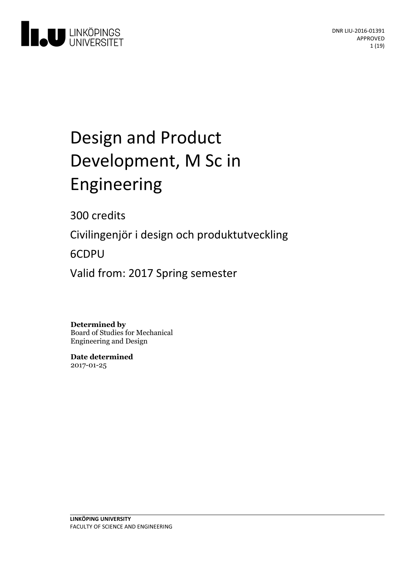

# Design and Product Development, M Sc in Engineering

300 credits

Civilingenjör i design och produktutveckling

6CDPU

Valid from: 2017 Spring semester

**Determined by** Board of Studies for Mechanical Engineering and Design

**Date determined** 2017-01-25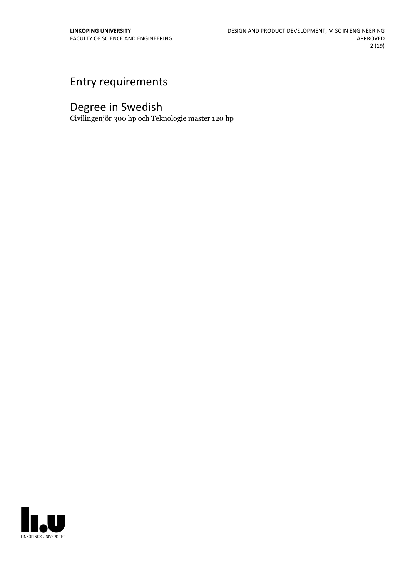## Entry requirements

## Degree in Swedish

Civilingenjör 300 hp och Teknologie master 120 hp

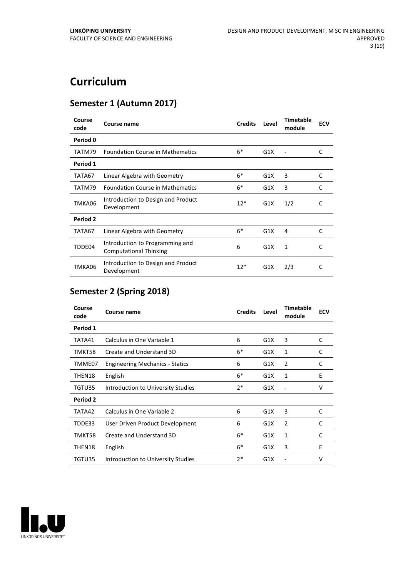## **Curriculum**

## **Semester 1 (Autumn 2017)**

| Course<br>code | Course name                                                      | <b>Credits</b> | Level | <b>Timetable</b><br>module | <b>ECV</b> |
|----------------|------------------------------------------------------------------|----------------|-------|----------------------------|------------|
| Period 0       |                                                                  |                |       |                            |            |
| TATM79         | <b>Foundation Course in Mathematics</b>                          | $6*$           | G1X   |                            | C          |
| Period 1       |                                                                  |                |       |                            |            |
| TATA67         | Linear Algebra with Geometry                                     | $6*$           | G1X   | 3                          | C          |
| TATM79         | <b>Foundation Course in Mathematics</b>                          | $6*$           | G1X   | 3                          | C          |
| TMKA06         | Introduction to Design and Product<br>Development                | $12*$          | G1X   | 1/2                        | C          |
| Period 2       |                                                                  |                |       |                            |            |
| TATA67         | Linear Algebra with Geometry                                     | $6*$           | G1X   | 4                          | C          |
| TDDE04         | Introduction to Programming and<br><b>Computational Thinking</b> | 6              | G1X   | 1                          | C          |
| TMKA06         | Introduction to Design and Product<br>Development                | $12*$          | G1X   | 2/3                        | C          |

## **Semester 2 (Spring 2018)**

| Course<br>code | Course name                            | <b>Credits</b> | Level | <b>Timetable</b><br>module | <b>ECV</b> |
|----------------|----------------------------------------|----------------|-------|----------------------------|------------|
| Period 1       |                                        |                |       |                            |            |
| TATA41         | Calculus in One Variable 1             | 6              | G1X   | 3                          | C          |
| TMKT58         | Create and Understand 3D               | $6*$           | G1X   | $\mathbf{1}$               | C          |
| TMME07         | <b>Engineering Mechanics - Statics</b> | 6              | G1X   | $\overline{2}$             | C          |
| THEN18         | English                                | $6*$           | G1X   | 1                          | E          |
| TGTU35         | Introduction to University Studies     | $2*$           | G1X   |                            | v          |
| Period 2       |                                        |                |       |                            |            |
| TATA42         | Calculus in One Variable 2             | 6              | G1X   | 3                          | C          |
| TDDE33         | User Driven Product Development        | 6              | G1X   | $\overline{2}$             | C          |
| TMKT58         | Create and Understand 3D               | $6*$           | G1X   | 1                          | C          |
| THEN18         | English                                | $6*$           | G1X   | 3                          | E          |
| TGTU35         | Introduction to University Studies     | 2*             | G1X   |                            | v          |

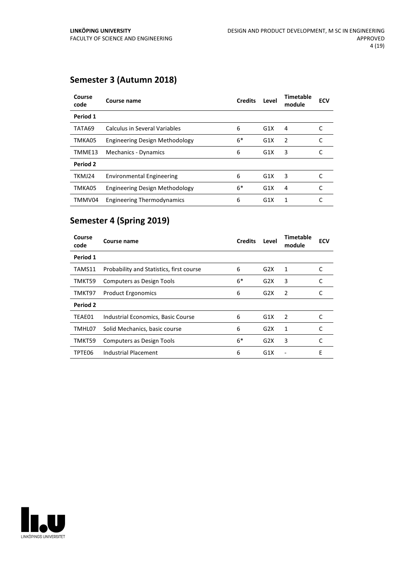## **Semester 3 (Autumn 2018)**

| Course<br>code | Course name                           | <b>Credits</b> | Level            | <b>Timetable</b><br>module | <b>ECV</b> |
|----------------|---------------------------------------|----------------|------------------|----------------------------|------------|
| Period 1       |                                       |                |                  |                            |            |
| TATA69         | Calculus in Several Variables         | 6              | G1X              | 4                          |            |
| TMKA05         | <b>Engineering Design Methodology</b> | $6*$           | G1X              | $\overline{2}$             | C          |
| TMME13         | Mechanics - Dynamics                  | 6              | G1X              | 3                          |            |
| Period 2       |                                       |                |                  |                            |            |
| TKMJ24         | <b>Environmental Engineering</b>      | 6              | G1X              | 3                          |            |
| TMKA05         | <b>Engineering Design Methodology</b> | $6*$           | G1X              | 4                          | C          |
| TMMV04         | <b>Engineering Thermodynamics</b>     | 6              | G <sub>1</sub> X | 1                          |            |

## **Semester 4 (Spring 2019)**

| Course<br>code | Course name                              | <b>Credits</b> | Level | Timetable<br>module | <b>ECV</b> |
|----------------|------------------------------------------|----------------|-------|---------------------|------------|
| Period 1       |                                          |                |       |                     |            |
| TAMS11         | Probability and Statistics, first course | 6              | G2X   | 1                   | C          |
| TMKT59         | <b>Computers as Design Tools</b>         | $6*$           | G2X   | 3                   | C          |
| TMKT97         | <b>Product Ergonomics</b>                | 6              | G2X   | 2                   |            |
| Period 2       |                                          |                |       |                     |            |
| TEAE01         | Industrial Economics, Basic Course       | 6              | G1X   | 2                   |            |
| TMHL07         | Solid Mechanics, basic course            | 6              | G2X   | 1                   | C          |
| TMKT59         | Computers as Design Tools                | $6*$           | G2X   | 3                   |            |
| TPTE06         | Industrial Placement                     | 6              | G1X   |                     | F          |

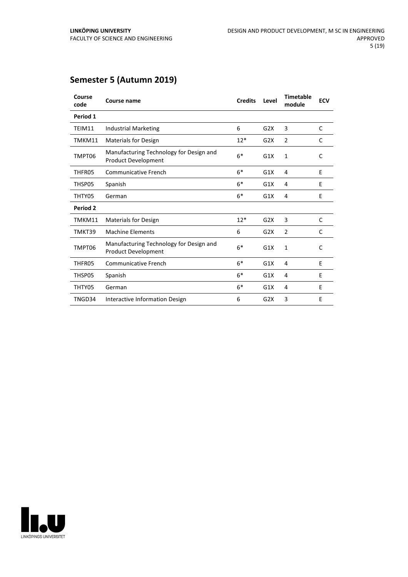## **Semester 5 (Autumn 2019)**

| Course<br>code | Course name                                                           | <b>Credits</b> | Level | <b>Timetable</b><br>module | <b>ECV</b>   |
|----------------|-----------------------------------------------------------------------|----------------|-------|----------------------------|--------------|
| Period 1       |                                                                       |                |       |                            |              |
| TEIM11         | <b>Industrial Marketing</b>                                           | 6              | G2X   | 3                          | C            |
| TMKM11         | <b>Materials for Design</b>                                           | $12*$          | G2X   | $\overline{2}$             | C            |
| TMPT06         | Manufacturing Technology for Design and<br><b>Product Development</b> | $6*$           | G1X   | $\mathbf{1}$               | C            |
| THFR05         | <b>Communicative French</b>                                           | $6*$           | G1X   | 4                          | E            |
| THSP05         | Spanish                                                               | $6*$           | G1X   | 4                          | E            |
| THTY05         | German                                                                | $6*$           | G1X   | 4                          | E            |
| Period 2       |                                                                       |                |       |                            |              |
| TMKM11         | <b>Materials for Design</b>                                           | $12*$          | G2X   | 3                          | C            |
| TMKT39         | <b>Machine Elements</b>                                               | 6              | G2X   | $\overline{2}$             | C            |
| TMPT06         | Manufacturing Technology for Design and<br><b>Product Development</b> | $6*$           | G1X   | 1                          | $\mathsf{C}$ |
| THFR05         | Communicative French                                                  | $6*$           | G1X   | 4                          | E            |
| THSP05         | Spanish                                                               | $6*$           | G1X   | 4                          | E            |
| THTY05         | German                                                                | $6*$           | G1X   | 4                          | E            |
| TNGD34         | Interactive Information Design                                        | 6              | G2X   | 3                          | E            |

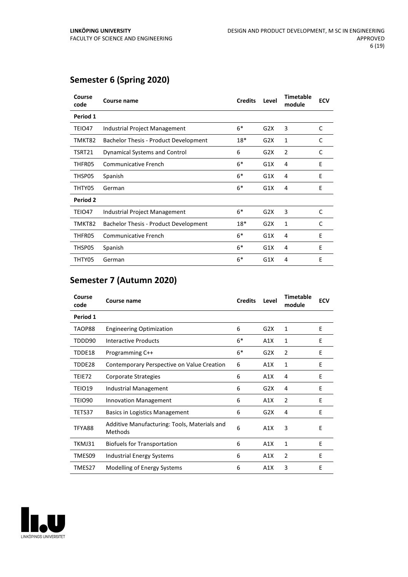## **Semester 6 (Spring 2020)**

| Course<br>code | Course name                                  | <b>Credits</b> | Level | <b>Timetable</b><br>module | <b>ECV</b> |
|----------------|----------------------------------------------|----------------|-------|----------------------------|------------|
| Period 1       |                                              |                |       |                            |            |
| TEIO47         | Industrial Project Management                | $6*$           | G2X   | 3                          | C          |
| TMKT82         | <b>Bachelor Thesis - Product Development</b> | 18*            | G2X   | $\mathbf{1}$               | C          |
| TSRT21         | <b>Dynamical Systems and Control</b>         | 6              | G2X   | $\overline{2}$             | C          |
| THFR05         | <b>Communicative French</b>                  | $6*$           | G1X   | 4                          | E          |
| THSP05         | Spanish                                      | $6*$           | G1X   | 4                          | E          |
| THTY05         | German                                       | $6*$           | G1X   | 4                          | E          |
| Period 2       |                                              |                |       |                            |            |
| TEIO47         | Industrial Project Management                | $6*$           | G2X   | 3                          | C          |
| TMKT82         | Bachelor Thesis - Product Development        | 18*            | G2X   | 1                          | C          |
| THFR05         | Communicative French                         | $6*$           | G1X   | 4                          | E          |
| THSP05         | Spanish                                      | $6*$           | G1X   | 4                          | E          |
| THTY05         | German                                       | $6*$           | G1X   | 4                          | E          |

### **Semester 7 (Autumn 2020)**

| Course<br>code | <b>Course name</b>                                      | <b>Credits</b> | Level | <b>Timetable</b><br>module | <b>ECV</b> |
|----------------|---------------------------------------------------------|----------------|-------|----------------------------|------------|
| Period 1       |                                                         |                |       |                            |            |
| TAOP88         | <b>Engineering Optimization</b>                         | 6              | G2X   | 1                          | E          |
| TDDD90         | Interactive Products                                    | $6*$           | A1X   | 1                          | E          |
| TDDE18         | Programming C++                                         | $6*$           | G2X   | 2                          | E          |
| TDDE28         | Contemporary Perspective on Value Creation              | 6              | A1X   | 1                          | Ε          |
| TEIE72         | Corporate Strategies                                    | 6              | A1X   | 4                          | E          |
| TEIO19         | Industrial Management                                   | 6              | G2X   | 4                          | E          |
| TEIO90         | <b>Innovation Management</b>                            | 6              | A1X   | $\overline{2}$             | E          |
| TETS37         | <b>Basics in Logistics Management</b>                   | 6              | G2X   | 4                          | E          |
| TFYA88         | Additive Manufacturing: Tools, Materials and<br>Methods | 6              | A1X   | 3                          | E          |
| TKMJ31         | <b>Biofuels for Transportation</b>                      | 6              | A1X   | 1                          | E          |
| TMES09         | <b>Industrial Energy Systems</b>                        | 6              | A1X   | 2                          | E          |
| TMES27         | Modelling of Energy Systems                             | 6              | A1X   | 3                          | E          |

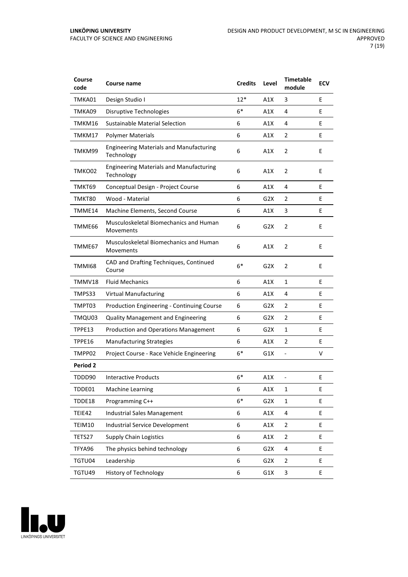| Course<br>code | Course name                                                  | <b>Credits</b> | Level            | <b>Timetable</b><br>module | <b>ECV</b> |
|----------------|--------------------------------------------------------------|----------------|------------------|----------------------------|------------|
| TMKA01         | Design Studio I                                              | $12*$          | A1X              | 3                          | E          |
| TMKA09         | Disruptive Technologies                                      | $6*$           | A1X              | 4                          | E          |
| TMKM16         | Sustainable Material Selection                               | 6              | A1X              | 4                          | E          |
| TMKM17         | <b>Polymer Materials</b>                                     | 6              | A1X              | 2                          | E          |
| TMKM99         | <b>Engineering Materials and Manufacturing</b><br>Technology | 6              | A1X              | $\overline{2}$             | E          |
| TMKO02         | <b>Engineering Materials and Manufacturing</b><br>Technology | 6              | A1X              | 2                          | E          |
| TMKT69         | Conceptual Design - Project Course                           | 6              | A1X              | 4                          | E          |
| TMKT80         | Wood - Material                                              | 6              | G <sub>2</sub> X | 2                          | E          |
| TMME14         | Machine Elements, Second Course                              | 6              | A1X              | 3                          | E          |
| TMME66         | Musculoskeletal Biomechanics and Human<br>Movements          | 6              | G <sub>2</sub> X | $\overline{2}$             | E          |
| TMME67         | Musculoskeletal Biomechanics and Human<br>Movements          | 6              | A1X              | 2                          | E          |
| <b>TMMI68</b>  | CAD and Drafting Techniques, Continued<br>Course             | $6*$           | G <sub>2</sub> X | $\overline{2}$             | E          |
| TMMV18         | <b>Fluid Mechanics</b>                                       | 6              | A1X              | 1                          | E          |
| TMPS33         | <b>Virtual Manufacturing</b>                                 | 6              | A1X              | 4                          | E          |
| TMPT03         | Production Engineering - Continuing Course                   | 6              | G2X              | 2                          | E          |
| TMQU03         | <b>Quality Management and Engineering</b>                    | 6              | G2X              | 2                          | E          |
| TPPE13         | Production and Operations Management                         | 6              | G2X              | 1                          | E          |
| TPPE16         | <b>Manufacturing Strategies</b>                              | 6              | A1X              | 2                          | E          |
| TMPP02         | Project Course - Race Vehicle Engineering                    | $6*$           | G1X              | $\blacksquare$             | v          |
| Period 2       |                                                              |                |                  |                            |            |
| TDDD90         | <b>Interactive Products</b>                                  | $6*$           | A1X              |                            | E          |
| TDDE01         | <b>Machine Learning</b>                                      | 6              | A1X              | $\mathbf{1}$               | E          |
| TDDE18         | Programming C++                                              | $6*$           | G2X              | $\mathbf{1}$               | E          |
| TEIE42         | Industrial Sales Management                                  | 6              | A1X              | 4                          | E          |
| TEIM10         | <b>Industrial Service Development</b>                        | 6              | A1X              | 2                          | E.         |
| TETS27         | <b>Supply Chain Logistics</b>                                | 6              | A1X              | $\mathbf 2$                | E.         |
| TFYA96         | The physics behind technology                                | 6              | G2X              | 4                          | E          |
| TGTU04         | Leadership                                                   | 6              | G2X              | $\overline{2}$             | E          |
| TGTU49         | <b>History of Technology</b>                                 | 6              | G1X              | 3                          | Ε          |

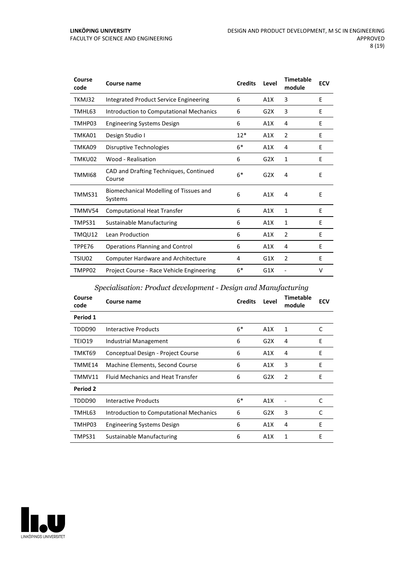| Course<br>code | Course name                                       | <b>Credits</b> | Level | <b>Timetable</b><br>module | <b>ECV</b> |
|----------------|---------------------------------------------------|----------------|-------|----------------------------|------------|
| TKMJ32         | Integrated Product Service Engineering            | 6              | A1X   | 3                          | E          |
| TMHL63         | Introduction to Computational Mechanics           | 6              | G2X   | 3                          | E          |
| TMHP03         | <b>Engineering Systems Design</b>                 | 6              | A1X   | 4                          | E          |
| TMKA01         | Design Studio I                                   | $12*$          | A1X   | $\overline{2}$             | E          |
| TMKA09         | Disruptive Technologies                           | $6*$           | A1X   | 4                          | E          |
| TMKU02         | Wood - Realisation                                | 6              | G2X   | 1                          | E          |
| TMMI68         | CAD and Drafting Techniques, Continued<br>Course  | $6*$           | G2X   | 4                          | E          |
| TMMS31         | Biomechanical Modelling of Tissues and<br>Systems | 6              | A1X   | 4                          | F          |
| TMMV54         | <b>Computational Heat Transfer</b>                | 6              | A1X   | $\mathbf{1}$               | E          |
| TMPS31         | Sustainable Manufacturing                         | 6              | A1X   | 1                          | E          |
| TMQU12         | Lean Production                                   | 6              | A1X   | $\overline{2}$             | E          |
| TPPE76         | Operations Planning and Control                   | 6              | A1X   | 4                          | E          |
| TSIU02         | <b>Computer Hardware and Architecture</b>         | 4              | G1X   | 2                          | E          |
| TMPP02         | Project Course - Race Vehicle Engineering         | $6*$           | G1X   |                            | v          |

#### *Specialisation: Product development - Design and Manufacturing*

| Course<br>code | Course name                              | <b>Credits</b> | Level | <b>Timetable</b><br>module | <b>ECV</b> |
|----------------|------------------------------------------|----------------|-------|----------------------------|------------|
| Period 1       |                                          |                |       |                            |            |
| TDDD90         | Interactive Products                     | $6*$           | A1X   | 1                          | C          |
| TEIO19         | Industrial Management                    | 6              | G2X   | 4                          | E          |
| TMKT69         | Conceptual Design - Project Course       | 6              | A1X   | 4                          | E          |
| TMME14         | Machine Elements, Second Course          | 6              | A1X   | 3                          | E          |
| TMMV11         | <b>Fluid Mechanics and Heat Transfer</b> | 6              | G2X   | 2                          | E          |
| Period 2       |                                          |                |       |                            |            |
| TDDD90         | Interactive Products                     | $6*$           | A1X   |                            | C          |
| TMHL63         | Introduction to Computational Mechanics  | 6              | G2X   | 3                          | C          |
| TMHP03         | <b>Engineering Systems Design</b>        | 6              | A1X   | 4                          | E          |
| TMPS31         | Sustainable Manufacturing                | 6              | A1X   | 1                          | Е          |

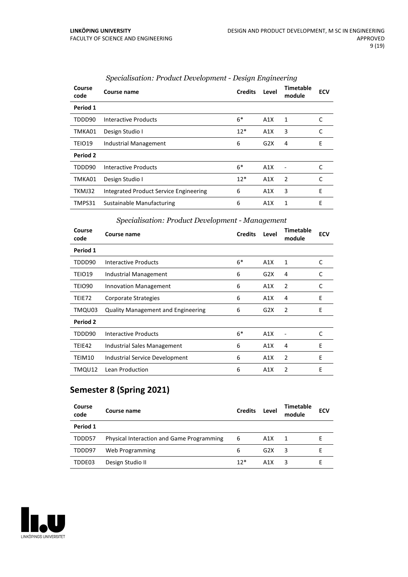| Course<br>code | Course name                            | <b>Credits</b> | Level | <b>Timetable</b><br>module | <b>ECV</b> |
|----------------|----------------------------------------|----------------|-------|----------------------------|------------|
| Period 1       |                                        |                |       |                            |            |
| TDDD90         | Interactive Products                   | $6*$           | A1X   | 1                          | C          |
| TMKA01         | Design Studio I                        | $12*$          | A1X   | 3                          | C          |
| TEIO19         | Industrial Management                  | 6              | G2X   | 4                          | E          |
| Period 2       |                                        |                |       |                            |            |
| TDDD90         | Interactive Products                   | $6*$           | A1X   | Ē,                         | C          |
| TMKA01         | Design Studio I                        | $12*$          | A1X   | 2                          | C          |
| TKMJ32         | Integrated Product Service Engineering | 6              | A1X   | 3                          | E          |
| TMPS31         | Sustainable Manufacturing              | 6              | A1X   | 1                          | E          |

#### *Specialisation: Product Development - Design Engineering*

#### *Specialisation: Product Development - Management*

| Course<br>code | Course name                               | <b>Credits</b> | Level | <b>Timetable</b><br>module | <b>ECV</b> |
|----------------|-------------------------------------------|----------------|-------|----------------------------|------------|
| Period 1       |                                           |                |       |                            |            |
| TDDD90         | Interactive Products                      | $6*$           | A1X   | 1                          | C          |
| TEIO19         | Industrial Management                     | 6              | G2X   | 4                          | C          |
| TEIO90         | <b>Innovation Management</b>              | 6              | A1X   | $\overline{2}$             | C          |
| TEIE72         | Corporate Strategies                      | 6              | A1X   | 4                          | Ε          |
| TMQU03         | <b>Quality Management and Engineering</b> | 6              | G2X   | $\overline{2}$             | E          |
| Period 2       |                                           |                |       |                            |            |
| TDDD90         | Interactive Products                      | $6*$           | A1X   |                            | C          |
| TEIE42         | Industrial Sales Management               | 6              | A1X   | 4                          | E          |
| TEIM10         | Industrial Service Development            | 6              | A1X   | 2                          | E          |
| TMQU12         | Lean Production                           | 6              | A1X   | 2                          | E          |

## **Semester 8 (Spring 2021)**

| Course<br>code | Course name                                      | <b>Credits</b> | Level | Timetable<br>module | <b>ECV</b> |
|----------------|--------------------------------------------------|----------------|-------|---------------------|------------|
| Period 1       |                                                  |                |       |                     |            |
| TDDD57         | <b>Physical Interaction and Game Programming</b> | 6              | A1X   | $\mathbf{1}$        |            |
| TDDD97         | Web Programming                                  | 6              | G2X   | 3                   |            |
| TDDE03         | Design Studio II                                 | $12*$          | A1X   |                     |            |

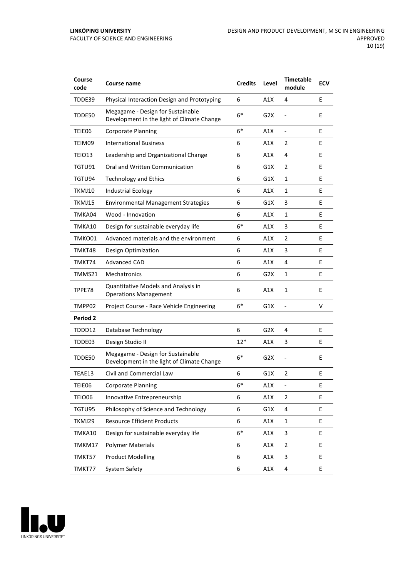| Course<br>code  | Course name                                                                     | <b>Credits</b> | Level            | <b>Timetable</b><br>module | <b>ECV</b> |
|-----------------|---------------------------------------------------------------------------------|----------------|------------------|----------------------------|------------|
| TDDE39          | Physical Interaction Design and Prototyping                                     | 6              | A1X              | 4                          | E          |
| TDDE50          | Megagame - Design for Sustainable<br>Development in the light of Climate Change | $6*$           | G2X              |                            | E          |
| TEIE06          | <b>Corporate Planning</b>                                                       | $6*$           | A1X              | $\frac{1}{2}$              | E          |
| TEIM09          | <b>International Business</b>                                                   | 6              | A1X              | 2                          | E          |
| TEIO13          | Leadership and Organizational Change                                            | 6              | A1X              | 4                          | E          |
| TGTU91          | Oral and Written Communication                                                  | 6              | G1X              | 2                          | E          |
| TGTU94          | <b>Technology and Ethics</b>                                                    | 6              | G1X              | 1                          | E          |
| TKMJ10          | <b>Industrial Ecology</b>                                                       | 6              | A1X              | $\mathbf{1}$               | E          |
| TKMJ15          | <b>Environmental Management Strategies</b>                                      | 6              | G1X              | 3                          | E          |
| TMKA04          | Wood - Innovation                                                               | 6              | A1X              | 1                          | E          |
| TMKA10          | Design for sustainable everyday life                                            | $6*$           | A1X              | 3                          | E          |
| TMKO01          | Advanced materials and the environment                                          | 6              | A1X              | 2                          | E          |
| TMKT48          | Design Optimization                                                             | 6              | A1X              | 3                          | E          |
| TMKT74          | <b>Advanced CAD</b>                                                             | 6              | A1X              | 4                          | E          |
| TMMS21          | Mechatronics                                                                    | 6              | G2X              | 1                          | E          |
| TPPE78          | Quantitative Models and Analysis in<br><b>Operations Management</b>             | 6              | A1X              | 1                          | E          |
| TMPP02          | Project Course - Race Vehicle Engineering                                       | $6*$           | G1X              |                            | v          |
| <b>Period 2</b> |                                                                                 |                |                  |                            |            |
| TDDD12          | Database Technology                                                             | 6              | G2X              | 4                          | E          |
| TDDE03          | Design Studio II                                                                | 12*            | A1X              | 3                          | E          |
| TDDE50          | Megagame - Design for Sustainable<br>Development in the light of Climate Change | $6*$           | G <sub>2</sub> X |                            | E          |
| TEAE13          | Civil and Commercial Law                                                        | 6              | G1X              | 2                          | E          |
| TEIE06          | <b>Corporate Planning</b>                                                       | $6*$           | A1X              | $\frac{1}{2}$              | Ε          |
| <b>TEIO06</b>   | Innovative Entrepreneurship                                                     | 6              | A1X              | 2                          | E          |
| TGTU95          | Philosophy of Science and Technology                                            | 6              | G1X              | 4                          | E          |
| TKMJ29          | <b>Resource Efficient Products</b>                                              | 6              | A1X              | 1                          | E.         |
| TMKA10          | Design for sustainable everyday life                                            | $6*$           | A1X              | 3                          | E          |
| TMKM17          | <b>Polymer Materials</b>                                                        | 6              | A1X              | 2                          | E.         |
| TMKT57          | <b>Product Modelling</b>                                                        | 6              | A1X              | 3                          | E          |
| TMKT77          | System Safety                                                                   | 6              | A1X              | 4                          | E          |

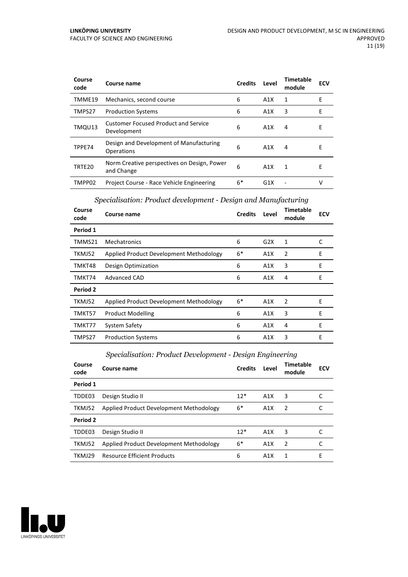| Course<br>code | Course name                                                | <b>Credits</b> | Level            | Timetable<br>module | <b>ECV</b> |
|----------------|------------------------------------------------------------|----------------|------------------|---------------------|------------|
| TMME19         | Mechanics, second course                                   | 6              | A1X              | 1                   | Е          |
| TMPS27         | <b>Production Systems</b>                                  | 6              | A1X              | 3                   | Е          |
| TMQU13         | <b>Customer Focused Product and Service</b><br>Development | 6              | A1X              | 4                   | Е          |
| TPPE74         | Design and Development of Manufacturing<br>Operations      | 6              | A1X              | 4                   | Е          |
| TRTE20         | Norm Creative perspectives on Design, Power<br>and Change  | 6              | A1X              | 1                   | Е          |
| TMPP02         | Project Course - Race Vehicle Engineering                  | $6*$           | G <sub>1</sub> X |                     | V          |

#### *Specialisation: Product development - Design and Manufacturing*

| Course<br>code | Course name                             | <b>Credits</b> | Level | <b>Timetable</b><br>module | <b>ECV</b> |
|----------------|-----------------------------------------|----------------|-------|----------------------------|------------|
| Period 1       |                                         |                |       |                            |            |
| TMMS21         | Mechatronics                            | 6              | G2X   | 1                          | C          |
| TKMJ52         | Applied Product Development Methodology | $6*$           | A1X   | $\overline{2}$             | Ε          |
| TMKT48         | Design Optimization                     | 6              | A1X   | 3                          | E          |
| TMKT74         | <b>Advanced CAD</b>                     | 6              | A1X   | 4                          | E          |
| Period 2       |                                         |                |       |                            |            |
| TKMJ52         | Applied Product Development Methodology | $6*$           | A1X   | 2                          | E          |
| TMKT57         | <b>Product Modelling</b>                | 6              | A1X   | 3                          | E          |
| TMKT77         | System Safety                           | 6              | A1X   | 4                          | E          |
| TMPS27         | <b>Production Systems</b>               | 6              | A1X   | 3                          | E          |

#### *Specialisation: Product Development - Design Engineering*

| Course<br>code | Course name                             | <b>Credits</b> | Level | <b>Timetable</b><br>module | <b>ECV</b> |
|----------------|-----------------------------------------|----------------|-------|----------------------------|------------|
| Period 1       |                                         |                |       |                            |            |
| TDDE03         | Design Studio II                        | $12*$          | A1X   | 3                          |            |
| TKMJ52         | Applied Product Development Methodology | 6*             | A1X   | 2                          |            |
| Period 2       |                                         |                |       |                            |            |
| TDDE03         | Design Studio II                        | $12*$          | A1X   | 3                          |            |
| TKMJ52         | Applied Product Development Methodology | $6*$           | A1X   | 2                          | C          |
| TKMJ29         | <b>Resource Efficient Products</b>      | 6              | A1X   | 1                          | F          |

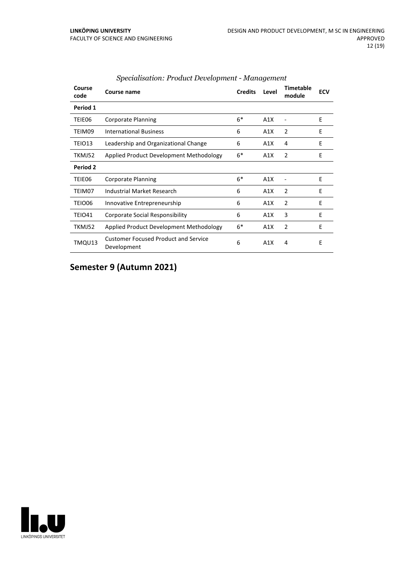| Course<br>code | Course name                                                | <b>Credits</b> | Level | <b>Timetable</b><br>module | <b>ECV</b> |
|----------------|------------------------------------------------------------|----------------|-------|----------------------------|------------|
| Period 1       |                                                            |                |       |                            |            |
| TEIE06         | <b>Corporate Planning</b>                                  | $6*$           | A1X   |                            | E          |
| TEIM09         | <b>International Business</b>                              | 6              | A1X   | $\overline{2}$             | F          |
| TEIO13         | Leadership and Organizational Change                       | 6              | A1X   | 4                          | E          |
| TKMJ52         | Applied Product Development Methodology                    | $6*$           | A1X   | $\overline{2}$             | Ε          |
| Period 2       |                                                            |                |       |                            |            |
| TEIE06         | <b>Corporate Planning</b>                                  | $6*$           | A1X   |                            | E          |
| TEIM07         | Industrial Market Research                                 | 6              | A1X   | $\overline{2}$             | E          |
| TEIO06         | Innovative Entrepreneurship                                | 6              | A1X   | $\overline{2}$             | E          |
| <b>TEIO41</b>  | <b>Corporate Social Responsibility</b>                     | 6              | A1X   | 3                          | E          |
| TKMJ52         | Applied Product Development Methodology                    | $6*$           | A1X   | $\overline{2}$             | E          |
| TMQU13         | <b>Customer Focused Product and Service</b><br>Development | 6              | A1X   | 4                          | E          |

#### *Specialisation: Product Development - Management*

## **Semester 9 (Autumn 2021)**

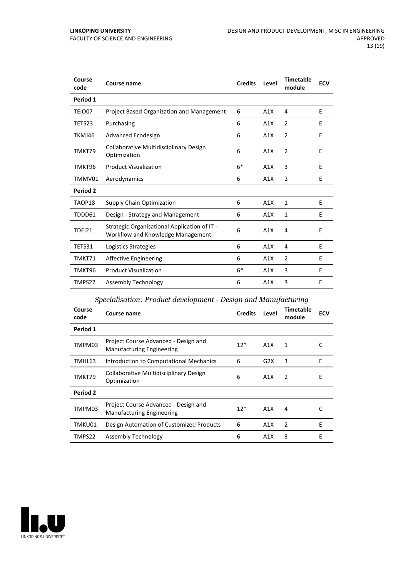| Course<br>code | Course name                                                                       | <b>Credits</b> | Level | <b>Timetable</b><br>module | <b>ECV</b> |
|----------------|-----------------------------------------------------------------------------------|----------------|-------|----------------------------|------------|
| Period 1       |                                                                                   |                |       |                            |            |
| TEIO07         | Project Based Organization and Management                                         | 6              | A1X   | 4                          | E          |
| TETS23         | Purchasing                                                                        | 6              | A1X   | $\overline{2}$             | E          |
| TKMJ46         | Advanced Ecodesign                                                                | 6              | A1X   | $\overline{2}$             | E          |
| TMKT79         | Collaborative Multidisciplinary Design<br>Optimization                            | 6              | A1X   | $\overline{2}$             | E          |
| TMKT96         | <b>Product Visualization</b>                                                      | $6*$           | A1X   | 3                          | E          |
| TMMV01         | Aerodynamics                                                                      | 6              | A1X   | $\overline{2}$             | E          |
| Period 2       |                                                                                   |                |       |                            |            |
| TAOP18         | Supply Chain Optimization                                                         | 6              | A1X   | $\mathbf{1}$               | E          |
| TDDD61         | Design - Strategy and Management                                                  | 6              | A1X   | 1                          | E          |
| <b>TDEI21</b>  | Strategic Organisational Application of IT -<br>Workflow and Knowledge Management | 6              | A1X   | 4                          | E          |
| TETS31         | Logistics Strategies                                                              | 6              | A1X   | 4                          | E          |
| TMKT71         | <b>Affective Engineering</b>                                                      | 6              | A1X   | $\overline{2}$             | E          |
| TMKT96         | <b>Product Visualization</b>                                                      | $6*$           | A1X   | 3                          | E          |
| TMPS22         | Assembly Technology                                                               | 6              | A1X   | 3                          | E          |

#### *Specialisation: Product development - Design and Manufacturing*

| Course<br>code | Course name                                                              | <b>Credits</b> | Level            | Timetable<br>module | <b>ECV</b> |
|----------------|--------------------------------------------------------------------------|----------------|------------------|---------------------|------------|
| Period 1       |                                                                          |                |                  |                     |            |
| TMPM03         | Project Course Advanced - Design and<br><b>Manufacturing Engineering</b> | $12*$          | A1X              | 1                   | C          |
| TMHL63         | Introduction to Computational Mechanics                                  | 6              | G2X              | 3                   | E          |
| TMKT79         | Collaborative Multidisciplinary Design<br>Optimization                   | 6              | A1X              | 2                   | E          |
| Period 2       |                                                                          |                |                  |                     |            |
| TMPM03         | Project Course Advanced - Design and<br><b>Manufacturing Engineering</b> | $12*$          | A1X              | 4                   | C          |
| TMKU01         | Design Automation of Customized Products                                 | 6              | A1X              | $\overline{2}$      | E          |
| TMPS22         | Assembly Technology                                                      | 6              | A <sub>1</sub> X | 3                   | E          |

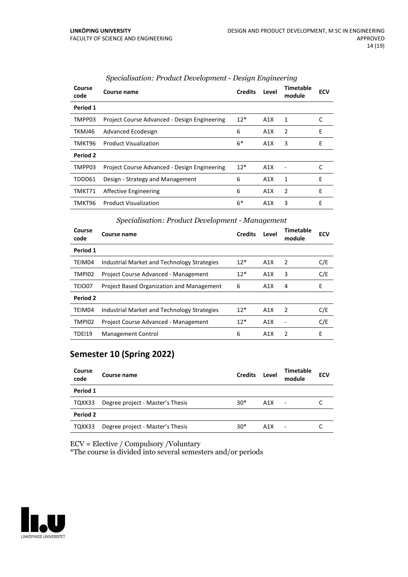| Course<br>code | Course name                                  | <b>Credits</b> | Level | Timetable<br>module | <b>ECV</b> |
|----------------|----------------------------------------------|----------------|-------|---------------------|------------|
| Period 1       |                                              |                |       |                     |            |
| TMPP03         | Project Course Advanced - Design Engineering | $12*$          | A1X   | 1                   | C          |
| TKMJ46         | Advanced Ecodesign                           | 6              | A1X   | $\overline{2}$      | E          |
| TMKT96         | <b>Product Visualization</b>                 | $6*$           | A1X   | 3                   | E          |
| Period 2       |                                              |                |       |                     |            |
| TMPP03         | Project Course Advanced - Design Engineering | $12*$          | A1X   |                     | C          |
| TDDD61         | Design - Strategy and Management             | 6              | A1X   | 1                   | Е          |
| TMKT71         | Affective Engineering                        | 6              | A1X   | $\overline{2}$      | E          |
| TMKT96         | <b>Product Visualization</b>                 | 6*             | A1X   | 3                   | E          |

#### *Specialisation: Product Development - Design Engineering*

#### *Specialisation: Product Development - Management*

| Course<br>code | Course name                                 | <b>Credits</b> | Level | Timetable<br>module | <b>ECV</b> |
|----------------|---------------------------------------------|----------------|-------|---------------------|------------|
| Period 1       |                                             |                |       |                     |            |
| TEIM04         | Industrial Market and Technology Strategies | $12*$          | A1X   | -2                  | C/E        |
| TMPI02         | Project Course Advanced - Management        | $12*$          | A1X   | 3                   | C/E        |
| TEIO07         | Project Based Organization and Management   | 6              | A1X   | 4                   | E          |
| Period 2       |                                             |                |       |                     |            |
| TEIM04         | Industrial Market and Technology Strategies | $12*$          | A1X   | $\overline{2}$      | C/E        |
| TMPI02         | Project Course Advanced - Management        | $12*$          | A1X   |                     | C/E        |
| TDEI19         | <b>Management Control</b>                   | 6              | A1X   | $\mathcal{P}$       | F          |

#### **Semester 10 (Spring 2022)**

| Course<br>code | Course name                      | <b>Credits</b> | Level | <b>Timetable</b><br>module | <b>ECV</b> |
|----------------|----------------------------------|----------------|-------|----------------------------|------------|
| Period 1       |                                  |                |       |                            |            |
| TQXX33         | Degree project - Master's Thesis | $30*$          | A1X   | $\blacksquare$             |            |
| Period 2       |                                  |                |       |                            |            |
| TQXX33         | Degree project - Master's Thesis | $30*$          | A1X   |                            |            |

ECV = Elective / Compulsory /Voluntary

\*The course is divided into several semesters and/or periods

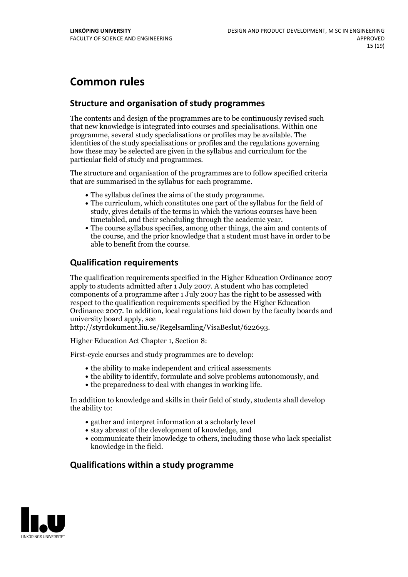## **Common rules**

#### **Structure and organisation of study programmes**

The contents and design of the programmes are to be continuously revised such that new knowledge is integrated into courses and specialisations. Within one programme, several study specialisations or profiles may be available. The identities of the study specialisations or profiles and the regulations governing how these may be selected are given in the syllabus and curriculum for the particular field of study and programmes.

The structure and organisation of the programmes are to follow specified criteria that are summarised in the syllabus for each programme.

- 
- The syllabus defines the aims of the study programme.<br>• The curriculum, which constitutes one part of the syllabus for the field of study, gives details of the terms in which the various courses have been
- The course syllabus specifies, among other things, the aim and contents of the course, and the prior knowledge that a student must have in order to be able to benefit from the course.

#### **Qualification requirements**

The qualification requirements specified in the Higher Education Ordinance 2007 apply to students admitted after 1 July 2007. A student who has completed components of a programme after 1 July 2007 has the right to be assessed with respect to the qualification requirements specified by the Higher Education Ordinance 2007. In addition, local regulations laid down by the faculty boards and university board apply, see

http://styrdokument.liu.se/Regelsamling/VisaBeslut/622693.

Higher Education Act Chapter 1, Section 8:

First-cycle courses and study programmes are to develop:

- the ability to make independent and critical assessments
- the ability to identify, formulate and solve problems autonomously, and
- the preparedness to deal with changes in working life.

In addition to knowledge and skills in their field of study, students shall develop the ability to:

- gather and interpret information at a scholarly level
- stay abreast of the development of knowledge, and
- communicate their knowledge to others, including those who lack specialist knowledge in the field.

#### **Qualifications within a study programme**

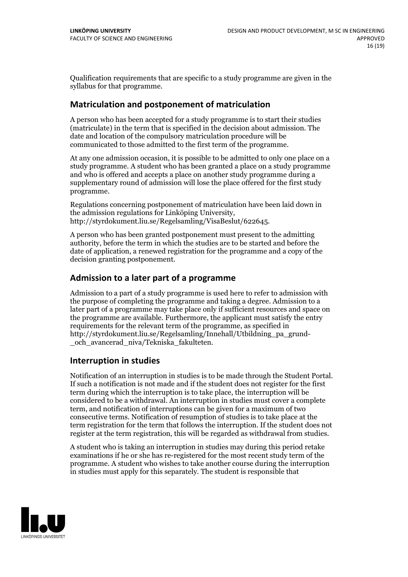Qualification requirements that are specific to a study programme are given in the syllabus for that programme.

#### **Matriculation and postponement of matriculation**

A person who has been accepted for a study programme is to start their studies (matriculate) in the term that is specified in the decision about admission. The date and location of the compulsory matriculation procedure will be communicated to those admitted to the first term of the programme.

At any one admission occasion, it is possible to be admitted to only one place on a study programme. A student who has been granted a place on a study programme and who is offered and accepts a place on another study programme during a supplementary round of admission will lose the place offered for the first study programme.

Regulations concerning postponement of matriculation have been laid down in the admission regulations for Linköping University, http://styrdokument.liu.se/Regelsamling/VisaBeslut/622645.

A person who has been granted postponement must present to the admitting authority, before the term in which the studies are to be started and before the date of application, a renewed registration for the programme and a copy of the decision granting postponement.

#### **Admission to a later part of a programme**

Admission to a part of a study programme is used here to refer to admission with the purpose of completing the programme and taking a degree. Admission to a later part of a programme may take place only if sufficient resources and space on the programme are available. Furthermore, the applicant must satisfy the entry requirements for the relevant term of the programme, as specified in http://styrdokument.liu.se/Regelsamling/Innehall/Utbildning\_pa\_grund- \_och\_avancerad\_niva/Tekniska\_fakulteten.

#### **Interruption in studies**

Notification of an interruption in studies is to be made through the Student Portal. If such <sup>a</sup> notification is not made and if the student does not register for the first term during which the interruption is to take place, the interruption will be considered to be a withdrawal. An interruption in studies must cover a complete term, and notification of interruptions can be given for a maximum of two consecutive terms. Notification of resumption of studies is to take place at the term registration for the term that follows the interruption. If the student does not register at the term registration, this will be regarded as withdrawal from studies.

A student who is taking an interruption in studies may during this period retake examinations if he or she has re-registered for the most recent study term of the programme. A student who wishes to take another course during the interruption in studies must apply for this separately. The student is responsible that

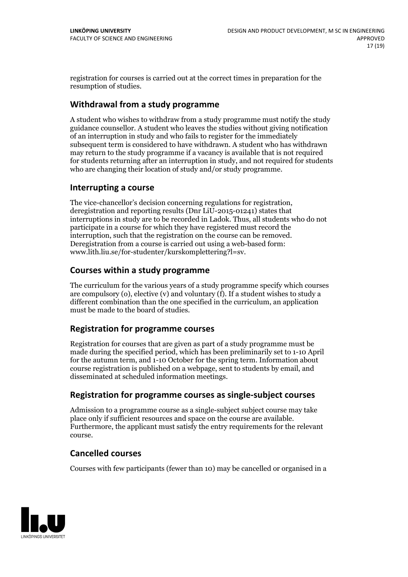registration for courses is carried outat the correct times in preparation for the resumption of studies.

#### **Withdrawal from a study programme**

A student who wishes to withdraw from a study programme must notify the study guidance counsellor. A student who leaves the studies without giving notification of an interruption in study and who fails to register for the immediately subsequent term is considered to have withdrawn. A student who has withdrawn may return to the study programme if a vacancy is available that is not required for students returning after an interruption in study, and not required for students who are changing their location of study and/or study programme.

#### **Interrupting a course**

The vice-chancellor's decision concerning regulations for registration, deregistration and reporting results (Dnr LiU-2015-01241) states that interruptions in study are to be recorded in Ladok. Thus, all students who do not participate in a course for which they have registered must record the interruption, such that the registration on the course can be removed. Deregistration from <sup>a</sup> course is carried outusing <sup>a</sup> web-based form: www.lith.liu.se/for-studenter/kurskomplettering?l=sv.

#### **Courses within a study programme**

The curriculum for the various years of a study programme specify which courses are compulsory (o), elective (v) and voluntary (f). If a student wishes to study a different combination than the one specified in the curriculum, an application must be made to the board of studies.

#### **Registration for programme courses**

Registration for courses that are given as part of a study programme must be made during the specified period, which has been preliminarily set to 1-10 April for the autumn term, and 1-10 October for the spring term. Information about course registration is published on a webpage, sent to students by email, and disseminated at scheduled information meetings.

#### **Registration for programme courses as single-subject courses**

Admission to a programme course as a single-subject subject course may take place only if sufficient resources and space on the course are available. Furthermore, the applicant must satisfy the entry requirements for the relevant course.

#### **Cancelled courses**

Courses with few participants (fewer than 10) may be cancelled or organised in a

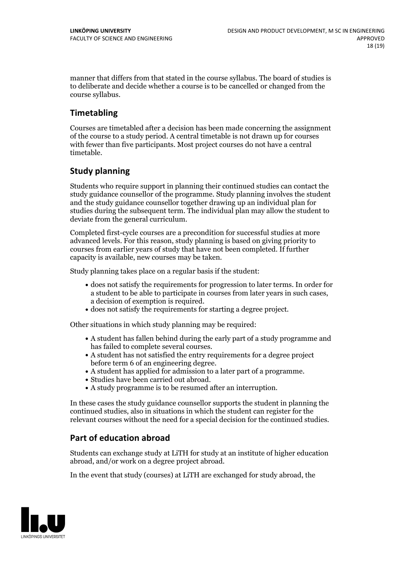manner that differs from that stated in the course syllabus. The board of studies is to deliberate and decide whether a course is to be cancelled orchanged from the course syllabus.

### **Timetabling**

Courses are timetabled after a decision has been made concerning the assignment of the course to a study period. A central timetable is not drawn up for courses with fewer than five participants. Most project courses do not have a central timetable.

#### **Study planning**

Students who require support in planning their continued studies can contact the study guidance counsellor of the programme. Study planning involves the student and the study guidance counsellor together drawing up an individual plan for studies during the subsequent term. The individual plan may allow the student to deviate from the general curriculum.

Completed first-cycle courses are a precondition for successful studies at more advanced levels. For this reason, study planning is based on giving priority to courses from earlier years of study that have not been completed. If further capacity is available, new courses may be taken.

Study planning takes place on a regular basis if the student:

- does not satisfy the requirements for progression to later terms. In order for a student to be able to participate in courses from later years in such cases, a decision of exemption is required.<br>
• does not satisfy the requirements for starting a degree project.
- 

Other situations in which study planning may be required:

- A student has fallen behind during the early part of a study programme and
- has failed to complete several courses.<br>• A student has not satisfied the entry requirements for a degree project
- before term 6 of an engineering degree.<br>
 A student has applied for admission to a later part of a programme.<br>
 Studies have been carried out abroad.<br>
 A study programme is to be resumed after an interruption.
- 
- 

In these cases the study guidance counsellor supports the student in planning the continued studies, also in situations in which the student can register for the relevant courses without the need for a special decision for the continued studies.

#### **Part of education abroad**

Students can exchange study at LiTH for study at an institute of higher education abroad, and/or work on a degree project abroad.

In the event that study (courses) at LiTH are exchanged for study abroad, the